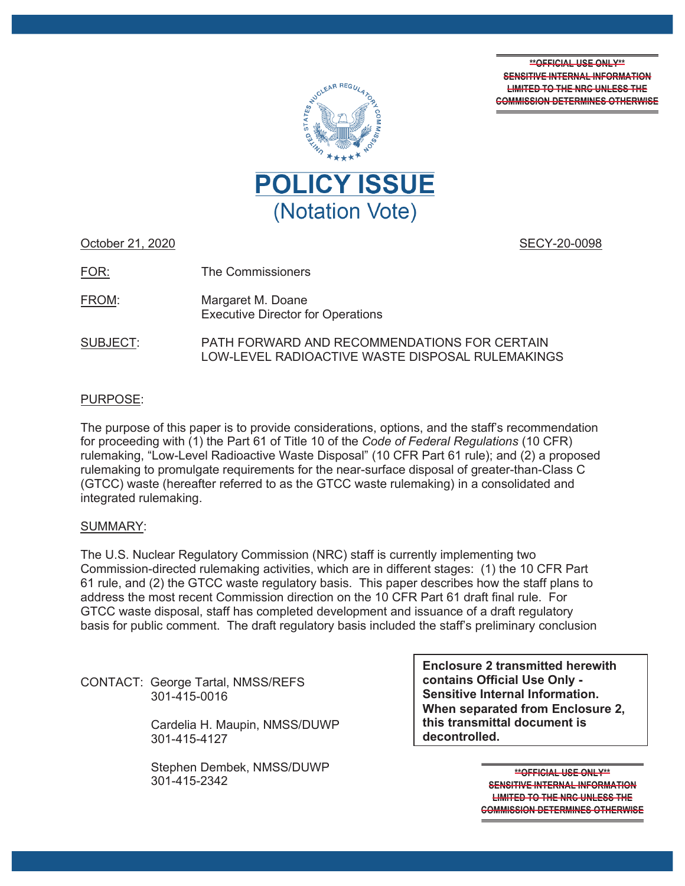**\*\*OFFICIAL USE ONLY\*\* SENSITIVE INTERNAL INFORMATION LIMITED TO THE NRC UNLESS THE COMMISSION DETERMINES OTHERWISE**



October 21, 2020

SECY-20-0098

The Commissioners FOR:

Margaret M. Doane Executive Director for Operations FROM:

PATH FORWARD AND RECOMMENDATIONS FOR CERTAIN LOW-LEVEL RADIOACTIVE WASTE DISPOSAL RULEMAKINGS SUBJECT:

# PURPOSE:

The purpose of this paper is to provide considerations, options, and the staff's recommendation for proceeding with (1) the Part 61 of Title 10 of the *Code of Federal Regulations* (10 CFR) rulemaking, "Low-Level Radioactive Waste Disposal" (10 CFR Part 61 rule); and (2) a proposed rulemaking to promulgate requirements for the near-surface disposal of greater-than-Class C (GTCC) waste (hereafter referred to as the GTCC waste rulemaking) in a consolidated and integrated rulemaking.

## SUMMARY:

The U.S. Nuclear Regulatory Commission (NRC) staff is currently implementing two Commission-directed rulemaking activities, which are in different stages: (1) the 10 CFR Part 61 rule, and (2) the GTCC waste regulatory basis. This paper describes how the staff plans to address the most recent Commission direction on the 10 CFR Part 61 draft final rule. For GTCC waste disposal, staff has completed development and issuance of a draft regulatory basis for public comment. The draft regulatory basis included the staff's preliminary conclusion

CONTACT: George Tartal, NMSS/REFS 301-415-0016

> Cardelia H. Maupin, NMSS/DUWP 301-415-4127

Stephen Dembek, NMSS/DUWP 301-415-2342

**Enclosure 2 transmitted herewith contains Official Use Only - Sensitive Internal Information. When separated from Enclosure 2, this transmittal document is decontrolled.** 

> **\*\*OFFICIAL USE ONLY\*\* SENSITIVE INTERNAL INFORMATION LIMITED TO THE NRC UNLESS THE COMMISSION DETERMINES OTHERWISE**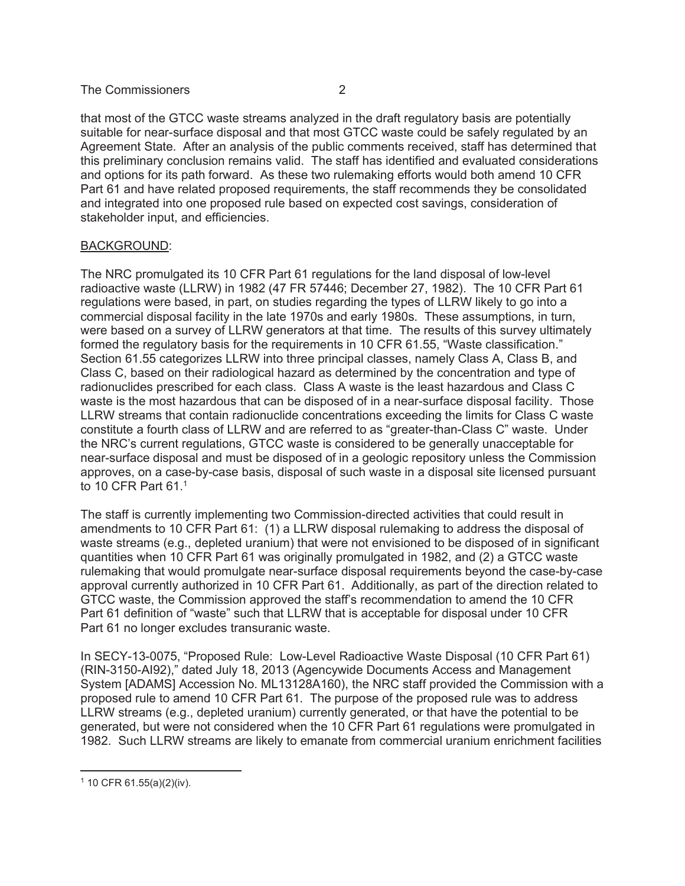that most of the GTCC waste streams analyzed in the draft regulatory basis are potentially suitable for near-surface disposal and that most GTCC waste could be safely regulated by an Agreement State. After an analysis of the public comments received, staff has determined that this preliminary conclusion remains valid. The staff has identified and evaluated considerations and options for its path forward. As these two rulemaking efforts would both amend 10 CFR Part 61 and have related proposed requirements, the staff recommends they be consolidated and integrated into one proposed rule based on expected cost savings, consideration of stakeholder input, and efficiencies.

## BACKGROUND:

The NRC promulgated its 10 CFR Part 61 regulations for the land disposal of low-level radioactive waste (LLRW) in 1982 (47 FR 57446; December 27, 1982). The 10 CFR Part 61 regulations were based, in part, on studies regarding the types of LLRW likely to go into a commercial disposal facility in the late 1970s and early 1980s. These assumptions, in turn, were based on a survey of LLRW generators at that time. The results of this survey ultimately formed the regulatory basis for the requirements in 10 CFR 61.55, "Waste classification." Section 61.55 categorizes LLRW into three principal classes, namely Class A, Class B, and Class C, based on their radiological hazard as determined by the concentration and type of radionuclides prescribed for each class. Class A waste is the least hazardous and Class C waste is the most hazardous that can be disposed of in a near-surface disposal facility. Those LLRW streams that contain radionuclide concentrations exceeding the limits for Class C waste constitute a fourth class of LLRW and are referred to as "greater-than-Class C" waste. Under the NRC's current regulations, GTCC waste is considered to be generally unacceptable for near-surface disposal and must be disposed of in a geologic repository unless the Commission approves, on a case-by-case basis, disposal of such waste in a disposal site licensed pursuant to 10 CFR Part 61.1

The staff is currently implementing two Commission-directed activities that could result in amendments to 10 CFR Part 61: (1) a LLRW disposal rulemaking to address the disposal of waste streams (e.g., depleted uranium) that were not envisioned to be disposed of in significant quantities when 10 CFR Part 61 was originally promulgated in 1982, and (2) a GTCC waste rulemaking that would promulgate near-surface disposal requirements beyond the case-by-case approval currently authorized in 10 CFR Part 61. Additionally, as part of the direction related to GTCC waste, the Commission approved the staff's recommendation to amend the 10 CFR Part 61 definition of "waste" such that LLRW that is acceptable for disposal under 10 CFR Part 61 no longer excludes transuranic waste.

In SECY-13-0075, "Proposed Rule: Low-Level Radioactive Waste Disposal (10 CFR Part 61) (RIN-3150-AI92)," dated July 18, 2013 (Agencywide Documents Access and Management System [ADAMS] Accession No. ML13128A160), the NRC staff provided the Commission with a proposed rule to amend 10 CFR Part 61. The purpose of the proposed rule was to address LLRW streams (e.g., depleted uranium) currently generated, or that have the potential to be generated, but were not considered when the 10 CFR Part 61 regulations were promulgated in 1982. Such LLRW streams are likely to emanate from commercial uranium enrichment facilities

<sup>1 10</sup> CFR 61.55(a)(2)(iv).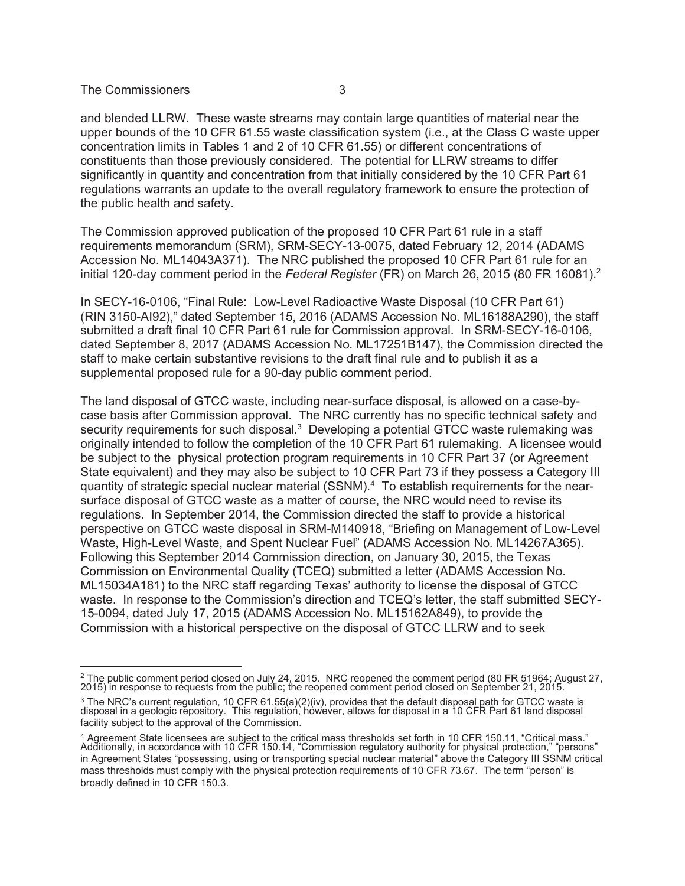and blended LLRW. These waste streams may contain large quantities of material near the upper bounds of the 10 CFR 61.55 waste classification system (i.e., at the Class C waste upper concentration limits in Tables 1 and 2 of 10 CFR 61.55) or different concentrations of constituents than those previously considered. The potential for LLRW streams to differ significantly in quantity and concentration from that initially considered by the 10 CFR Part 61 regulations warrants an update to the overall regulatory framework to ensure the protection of the public health and safety.

The Commission approved publication of the proposed 10 CFR Part 61 rule in a staff requirements memorandum (SRM), SRM-SECY-13-0075, dated February 12, 2014 (ADAMS Accession No. ML14043A371). The NRC published the proposed 10 CFR Part 61 rule for an initial 120-day comment period in the *Federal Register* (FR) on March 26, 2015 (80 FR 16081).2

In SECY-16-0106, "Final Rule: Low-Level Radioactive Waste Disposal (10 CFR Part 61) (RIN 3150-AI92)," dated September 15, 2016 (ADAMS Accession No. ML16188A290), the staff submitted a draft final 10 CFR Part 61 rule for Commission approval. In SRM-SECY-16-0106, dated September 8, 2017 (ADAMS Accession No. ML17251B147), the Commission directed the staff to make certain substantive revisions to the draft final rule and to publish it as a supplemental proposed rule for a 90-day public comment period.

The land disposal of GTCC waste, including near-surface disposal, is allowed on a case-bycase basis after Commission approval. The NRC currently has no specific technical safety and security requirements for such disposal.<sup>3</sup> Developing a potential GTCC waste rulemaking was originally intended to follow the completion of the 10 CFR Part 61 rulemaking. A licensee would be subject to the physical protection program requirements in 10 CFR Part 37 (or Agreement State equivalent) and they may also be subject to 10 CFR Part 73 if they possess a Category III quantity of strategic special nuclear material (SSNM).<sup>4</sup> To establish requirements for the nearsurface disposal of GTCC waste as a matter of course, the NRC would need to revise its regulations. In September 2014, the Commission directed the staff to provide a historical perspective on GTCC waste disposal in SRM-M140918, "Briefing on Management of Low-Level Waste, High-Level Waste, and Spent Nuclear Fuel" (ADAMS Accession No. ML14267A365). Following this September 2014 Commission direction, on January 30, 2015, the Texas Commission on Environmental Quality (TCEQ) submitted a letter (ADAMS Accession No. ML15034A181) to the NRC staff regarding Texas' authority to license the disposal of GTCC waste. In response to the Commission's direction and TCEQ's letter, the staff submitted SECY-15-0094, dated July 17, 2015 (ADAMS Accession No. ML15162A849), to provide the Commission with a historical perspective on the disposal of GTCC LLRW and to seek

<sup>&</sup>lt;sup>2</sup> The public comment period closed on July 24, 2015. NRC reopened the comment period (80 FR 51964; August 27,<br>2015) in response to requests from the public; the reopened comment period closed on September 21, 2015.

<sup>&</sup>lt;sup>3</sup> The NRC's current regulation, 10 CFR 61.55(a)(2)(iv), provides that the default disposal path for GTCC waste is<br>disposal in a geologic repository. This regulation, however, allows for disposal in a 10 CFR Part 61 land facility subject to the approval of the Commission.

<sup>&</sup>lt;sup>4</sup> Agreement State licensees are subject to the critical mass thresholds set forth in 10 CFR 150.11, "Critical mass."<br>Additionally, in accordance with 10 CFR 150.14, "Commission regulatory authority for physical protectio in Agreement States "possessing, using or transporting special nuclear material" above the Category III SSNM critical mass thresholds must comply with the physical protection requirements of 10 CFR 73.67. The term "person" is broadly defined in 10 CFR 150.3.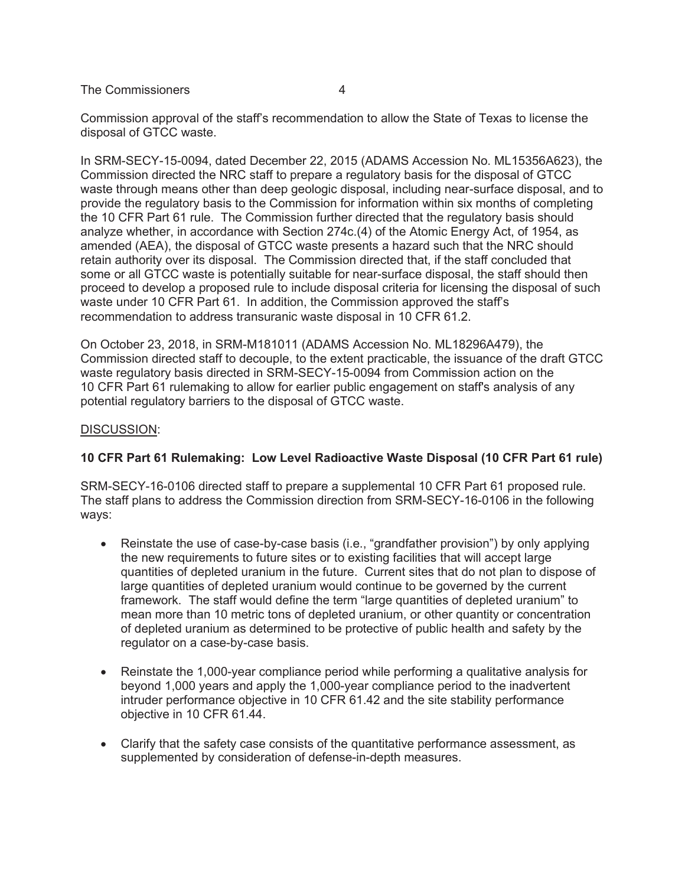Commission approval of the staff's recommendation to allow the State of Texas to license the disposal of GTCC waste.

In SRM-SECY-15-0094, dated December 22, 2015 (ADAMS Accession No. ML15356A623), the Commission directed the NRC staff to prepare a regulatory basis for the disposal of GTCC waste through means other than deep geologic disposal, including near-surface disposal, and to provide the regulatory basis to the Commission for information within six months of completing the 10 CFR Part 61 rule. The Commission further directed that the regulatory basis should analyze whether, in accordance with Section 274c.(4) of the Atomic Energy Act, of 1954, as amended (AEA), the disposal of GTCC waste presents a hazard such that the NRC should retain authority over its disposal. The Commission directed that, if the staff concluded that some or all GTCC waste is potentially suitable for near-surface disposal, the staff should then proceed to develop a proposed rule to include disposal criteria for licensing the disposal of such waste under 10 CFR Part 61. In addition, the Commission approved the staff's recommendation to address transuranic waste disposal in 10 CFR 61.2.

On October 23, 2018, in SRM-M181011 (ADAMS Accession No. ML18296A479), the Commission directed staff to decouple, to the extent practicable, the issuance of the draft GTCC waste regulatory basis directed in SRM-SECY-15-0094 from Commission action on the 10 CFR Part 61 rulemaking to allow for earlier public engagement on staff's analysis of any potential regulatory barriers to the disposal of GTCC waste.

## DISCUSSION:

# **10 CFR Part 61 Rulemaking: Low Level Radioactive Waste Disposal (10 CFR Part 61 rule)**

SRM-SECY-16-0106 directed staff to prepare a supplemental 10 CFR Part 61 proposed rule. The staff plans to address the Commission direction from SRM-SECY-16-0106 in the following ways:

- Reinstate the use of case-by-case basis (i.e., "grandfather provision") by only applying the new requirements to future sites or to existing facilities that will accept large quantities of depleted uranium in the future. Current sites that do not plan to dispose of large quantities of depleted uranium would continue to be governed by the current framework. The staff would define the term "large quantities of depleted uranium" to mean more than 10 metric tons of depleted uranium, or other quantity or concentration of depleted uranium as determined to be protective of public health and safety by the regulator on a case-by-case basis.
- Reinstate the 1,000-year compliance period while performing a qualitative analysis for beyond 1,000 years and apply the 1,000-year compliance period to the inadvertent intruder performance objective in 10 CFR 61.42 and the site stability performance objective in 10 CFR 61.44.
- Clarify that the safety case consists of the quantitative performance assessment, as supplemented by consideration of defense-in-depth measures.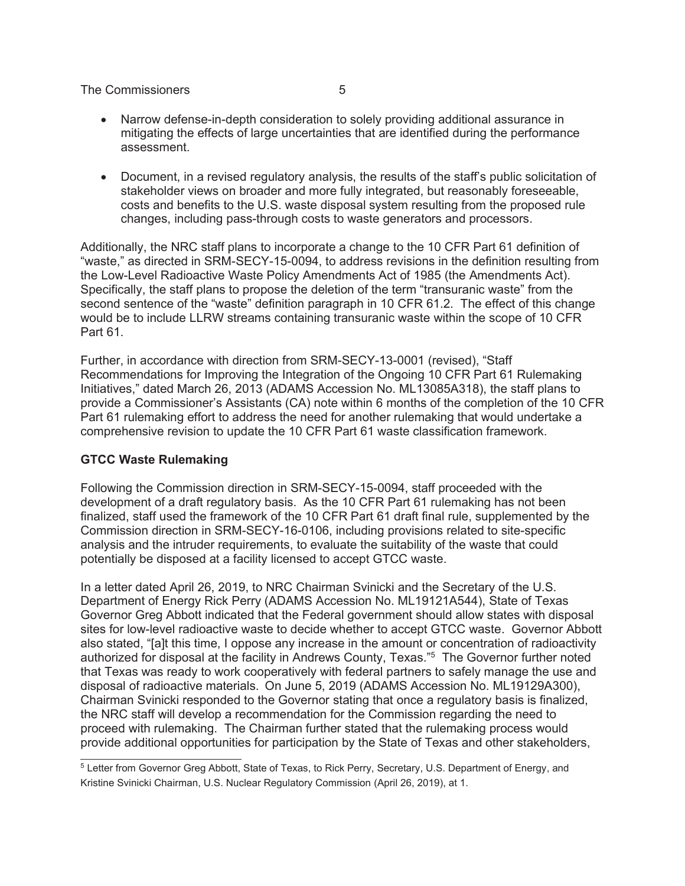- Narrow defense-in-depth consideration to solely providing additional assurance in mitigating the effects of large uncertainties that are identified during the performance assessment.
- Document, in a revised regulatory analysis, the results of the staff's public solicitation of stakeholder views on broader and more fully integrated, but reasonably foreseeable, costs and benefits to the U.S. waste disposal system resulting from the proposed rule changes, including pass-through costs to waste generators and processors.

Additionally, the NRC staff plans to incorporate a change to the 10 CFR Part 61 definition of "waste," as directed in SRM-SECY-15-0094, to address revisions in the definition resulting from the Low-Level Radioactive Waste Policy Amendments Act of 1985 (the Amendments Act). Specifically, the staff plans to propose the deletion of the term "transuranic waste" from the second sentence of the "waste" definition paragraph in 10 CFR 61.2. The effect of this change would be to include LLRW streams containing transuranic waste within the scope of 10 CFR Part 61.

Further, in accordance with direction from SRM-SECY-13-0001 (revised), "Staff Recommendations for Improving the Integration of the Ongoing 10 CFR Part 61 Rulemaking Initiatives," dated March 26, 2013 (ADAMS Accession No. ML13085A318), the staff plans to provide a Commissioner's Assistants (CA) note within 6 months of the completion of the 10 CFR Part 61 rulemaking effort to address the need for another rulemaking that would undertake a comprehensive revision to update the 10 CFR Part 61 waste classification framework.

## **GTCC Waste Rulemaking**

Following the Commission direction in SRM-SECY-15-0094, staff proceeded with the development of a draft regulatory basis. As the 10 CFR Part 61 rulemaking has not been finalized, staff used the framework of the 10 CFR Part 61 draft final rule, supplemented by the Commission direction in SRM-SECY-16-0106, including provisions related to site-specific analysis and the intruder requirements, to evaluate the suitability of the waste that could potentially be disposed at a facility licensed to accept GTCC waste.

In a letter dated April 26, 2019, to NRC Chairman Svinicki and the Secretary of the U.S. Department of Energy Rick Perry (ADAMS Accession No. ML19121A544), State of Texas Governor Greg Abbott indicated that the Federal government should allow states with disposal sites for low-level radioactive waste to decide whether to accept GTCC waste. Governor Abbott also stated, "[a]t this time, I oppose any increase in the amount or concentration of radioactivity authorized for disposal at the facility in Andrews County, Texas." 5 The Governor further noted that Texas was ready to work cooperatively with federal partners to safely manage the use and disposal of radioactive materials. On June 5, 2019 (ADAMS Accession No. ML19129A300), Chairman Svinicki responded to the Governor stating that once a regulatory basis is finalized, the NRC staff will develop a recommendation for the Commission regarding the need to proceed with rulemaking. The Chairman further stated that the rulemaking process would provide additional opportunities for participation by the State of Texas and other stakeholders,

<sup>5</sup> Letter from Governor Greg Abbott, State of Texas, to Rick Perry, Secretary, U.S. Department of Energy, and Kristine Svinicki Chairman, U.S. Nuclear Regulatory Commission (April 26, 2019), at 1.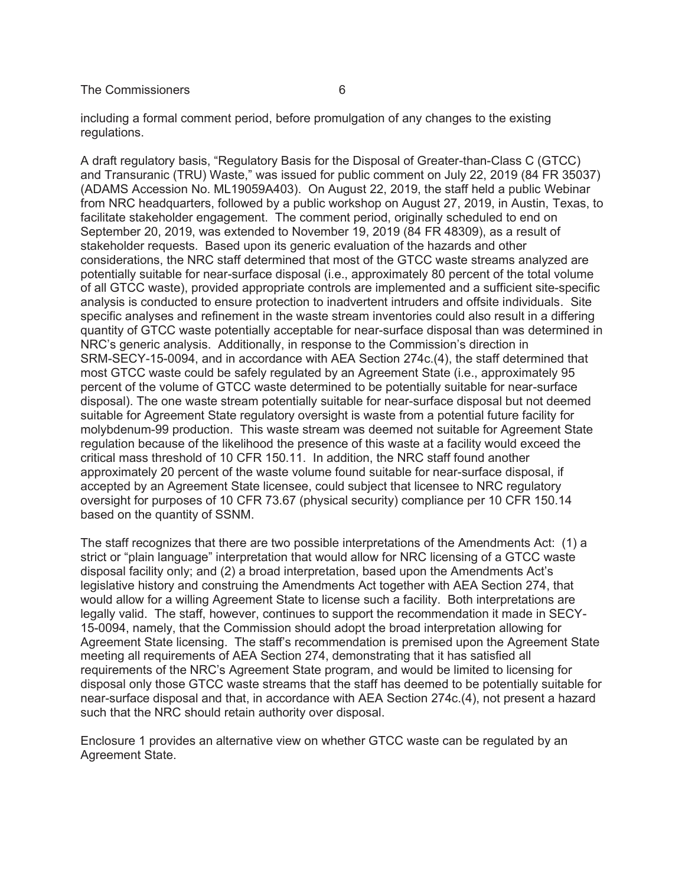including a formal comment period, before promulgation of any changes to the existing regulations.

A draft regulatory basis, "Regulatory Basis for the Disposal of Greater-than-Class C (GTCC) and Transuranic (TRU) Waste," was issued for public comment on July 22, 2019 (84 FR 35037) (ADAMS Accession No. ML19059A403). On August 22, 2019, the staff held a public Webinar from NRC headquarters, followed by a public workshop on August 27, 2019, in Austin, Texas, to facilitate stakeholder engagement. The comment period, originally scheduled to end on September 20, 2019, was extended to November 19, 2019 (84 FR 48309), as a result of stakeholder requests. Based upon its generic evaluation of the hazards and other considerations, the NRC staff determined that most of the GTCC waste streams analyzed are potentially suitable for near-surface disposal (i.e., approximately 80 percent of the total volume of all GTCC waste), provided appropriate controls are implemented and a sufficient site-specific analysis is conducted to ensure protection to inadvertent intruders and offsite individuals. Site specific analyses and refinement in the waste stream inventories could also result in a differing quantity of GTCC waste potentially acceptable for near-surface disposal than was determined in NRC's generic analysis. Additionally, in response to the Commission's direction in SRM-SECY-15-0094, and in accordance with AEA Section 274c.(4), the staff determined that most GTCC waste could be safely regulated by an Agreement State (i.e., approximately 95 percent of the volume of GTCC waste determined to be potentially suitable for near-surface disposal). The one waste stream potentially suitable for near-surface disposal but not deemed suitable for Agreement State regulatory oversight is waste from a potential future facility for molybdenum-99 production. This waste stream was deemed not suitable for Agreement State regulation because of the likelihood the presence of this waste at a facility would exceed the critical mass threshold of 10 CFR 150.11. In addition, the NRC staff found another approximately 20 percent of the waste volume found suitable for near-surface disposal, if accepted by an Agreement State licensee, could subject that licensee to NRC regulatory oversight for purposes of 10 CFR 73.67 (physical security) compliance per 10 CFR 150.14 based on the quantity of SSNM.

The staff recognizes that there are two possible interpretations of the Amendments Act: (1) a strict or "plain language" interpretation that would allow for NRC licensing of a GTCC waste disposal facility only; and (2) a broad interpretation, based upon the Amendments Act's legislative history and construing the Amendments Act together with AEA Section 274, that would allow for a willing Agreement State to license such a facility. Both interpretations are legally valid. The staff, however, continues to support the recommendation it made in SECY-15-0094, namely, that the Commission should adopt the broad interpretation allowing for Agreement State licensing. The staff's recommendation is premised upon the Agreement State meeting all requirements of AEA Section 274, demonstrating that it has satisfied all requirements of the NRC's Agreement State program, and would be limited to licensing for disposal only those GTCC waste streams that the staff has deemed to be potentially suitable for near-surface disposal and that, in accordance with AEA Section 274c.(4), not present a hazard such that the NRC should retain authority over disposal.

Enclosure 1 provides an alternative view on whether GTCC waste can be regulated by an Agreement State.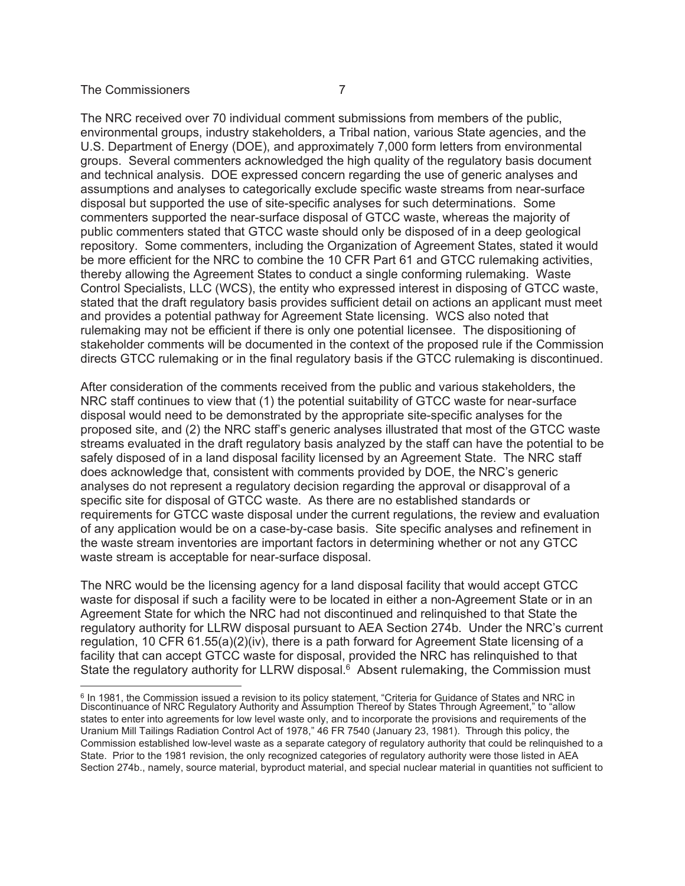The NRC received over 70 individual comment submissions from members of the public, environmental groups, industry stakeholders, a Tribal nation, various State agencies, and the U.S. Department of Energy (DOE), and approximately 7,000 form letters from environmental groups. Several commenters acknowledged the high quality of the regulatory basis document and technical analysis. DOE expressed concern regarding the use of generic analyses and assumptions and analyses to categorically exclude specific waste streams from near-surface disposal but supported the use of site-specific analyses for such determinations. Some commenters supported the near-surface disposal of GTCC waste, whereas the majority of public commenters stated that GTCC waste should only be disposed of in a deep geological repository. Some commenters, including the Organization of Agreement States, stated it would be more efficient for the NRC to combine the 10 CFR Part 61 and GTCC rulemaking activities, thereby allowing the Agreement States to conduct a single conforming rulemaking. Waste Control Specialists, LLC (WCS), the entity who expressed interest in disposing of GTCC waste, stated that the draft regulatory basis provides sufficient detail on actions an applicant must meet and provides a potential pathway for Agreement State licensing. WCS also noted that rulemaking may not be efficient if there is only one potential licensee. The dispositioning of stakeholder comments will be documented in the context of the proposed rule if the Commission directs GTCC rulemaking or in the final regulatory basis if the GTCC rulemaking is discontinued.

After consideration of the comments received from the public and various stakeholders, the NRC staff continues to view that (1) the potential suitability of GTCC waste for near-surface disposal would need to be demonstrated by the appropriate site-specific analyses for the proposed site, and (2) the NRC staff's generic analyses illustrated that most of the GTCC waste streams evaluated in the draft regulatory basis analyzed by the staff can have the potential to be safely disposed of in a land disposal facility licensed by an Agreement State. The NRC staff does acknowledge that, consistent with comments provided by DOE, the NRC's generic analyses do not represent a regulatory decision regarding the approval or disapproval of a specific site for disposal of GTCC waste. As there are no established standards or requirements for GTCC waste disposal under the current regulations, the review and evaluation of any application would be on a case-by-case basis. Site specific analyses and refinement in the waste stream inventories are important factors in determining whether or not any GTCC waste stream is acceptable for near-surface disposal.

The NRC would be the licensing agency for a land disposal facility that would accept GTCC waste for disposal if such a facility were to be located in either a non-Agreement State or in an Agreement State for which the NRC had not discontinued and relinquished to that State the regulatory authority for LLRW disposal pursuant to AEA Section 274b. Under the NRC's current regulation, 10 CFR 61.55(a)(2)(iv), there is a path forward for Agreement State licensing of a facility that can accept GTCC waste for disposal, provided the NRC has relinquished to that State the regulatory authority for LLRW disposal.<sup>6</sup> Absent rulemaking, the Commission must

<sup>&</sup>lt;sup>6</sup> In 1981, the Commission issued a revision to its policy statement, "Criteria for Guidance of States and NRC in<br>Discontinuance of NRC Regulatory Authority and Assumption Thereof by States Through Agreement," to "allow states to enter into agreements for low level waste only, and to incorporate the provisions and requirements of the Uranium Mill Tailings Radiation Control Act of 1978," 46 FR 7540 (January 23, 1981). Through this policy, the Commission established low-level waste as a separate category of regulatory authority that could be relinquished to a State. Prior to the 1981 revision, the only recognized categories of regulatory authority were those listed in AEA Section 274b., namely, source material, byproduct material, and special nuclear material in quantities not sufficient to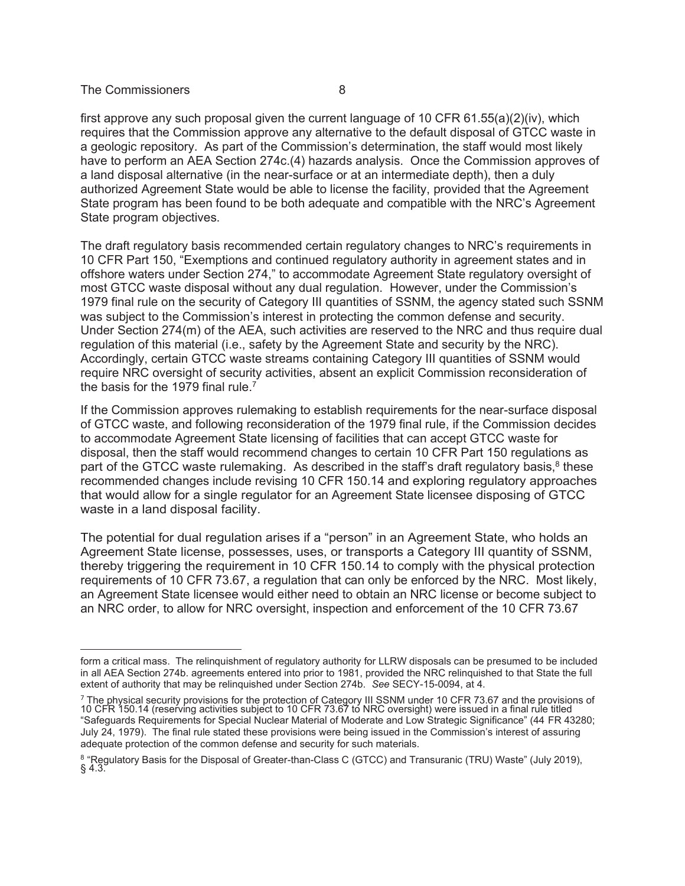first approve any such proposal given the current language of 10 CFR  $61.55(a)(2)(iv)$ , which requires that the Commission approve any alternative to the default disposal of GTCC waste in a geologic repository. As part of the Commission's determination, the staff would most likely have to perform an AEA Section 274c.(4) hazards analysis. Once the Commission approves of a land disposal alternative (in the near-surface or at an intermediate depth), then a duly authorized Agreement State would be able to license the facility, provided that the Agreement State program has been found to be both adequate and compatible with the NRC's Agreement State program objectives.

The draft regulatory basis recommended certain regulatory changes to NRC's requirements in 10 CFR Part 150, "Exemptions and continued regulatory authority in agreement states and in offshore waters under Section 274," to accommodate Agreement State regulatory oversight of most GTCC waste disposal without any dual regulation. However, under the Commission's 1979 final rule on the security of Category III quantities of SSNM, the agency stated such SSNM was subject to the Commission's interest in protecting the common defense and security. Under Section 274(m) of the AEA, such activities are reserved to the NRC and thus require dual regulation of this material (i.e., safety by the Agreement State and security by the NRC). Accordingly, certain GTCC waste streams containing Category III quantities of SSNM would require NRC oversight of security activities, absent an explicit Commission reconsideration of the basis for the 1979 final rule.<sup>7</sup>

If the Commission approves rulemaking to establish requirements for the near-surface disposal of GTCC waste, and following reconsideration of the 1979 final rule, if the Commission decides to accommodate Agreement State licensing of facilities that can accept GTCC waste for disposal, then the staff would recommend changes to certain 10 CFR Part 150 regulations as part of the GTCC waste rulemaking. As described in the staff's draft regulatory basis,<sup>8</sup> these recommended changes include revising 10 CFR 150.14 and exploring regulatory approaches that would allow for a single regulator for an Agreement State licensee disposing of GTCC waste in a land disposal facility.

The potential for dual regulation arises if a "person" in an Agreement State, who holds an Agreement State license, possesses, uses, or transports a Category III quantity of SSNM, thereby triggering the requirement in 10 CFR 150.14 to comply with the physical protection requirements of 10 CFR 73.67, a regulation that can only be enforced by the NRC. Most likely, an Agreement State licensee would either need to obtain an NRC license or become subject to an NRC order, to allow for NRC oversight, inspection and enforcement of the 10 CFR 73.67

form a critical mass. The relinquishment of regulatory authority for LLRW disposals can be presumed to be included in all AEA Section 274b. agreements entered into prior to 1981, provided the NRC relinquished to that State the full extent of authority that may be relinquished under Section 274b. *See* SECY-15-0094, at 4.

<sup>&</sup>lt;sup>7</sup> The physical security provisions for the protection of Category III SSNM under 10 CFR 73.67 and the provisions of<br>10 CFR 150.14 (reserving activities subject to 10 CFR 73.67 to NRC oversight) were issued in a final rul "Safeguards Requirements for Special Nuclear Material of Moderate and Low Strategic Significance" (44 FR 43280; July 24, 1979). The final rule stated these provisions were being issued in the Commission's interest of assuring adequate protection of the common defense and security for such materials.

 $^8$  "Regulatory Basis for the Disposal of Greater-than-Class C (GTCC) and Transuranic (TRU) Waste" (July 2019),  $§$  4.3.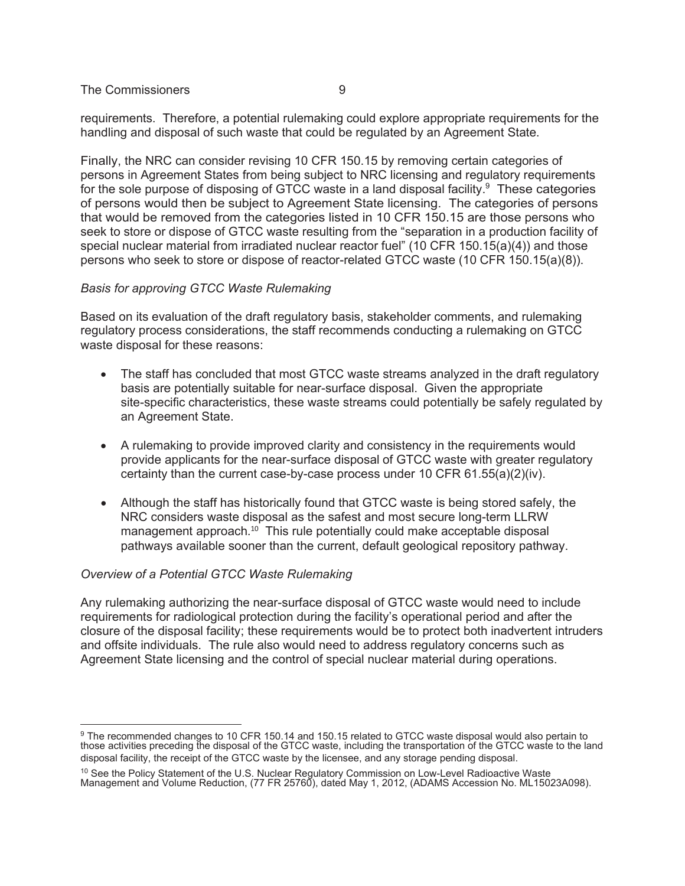requirements. Therefore, a potential rulemaking could explore appropriate requirements for the handling and disposal of such waste that could be regulated by an Agreement State.

Finally, the NRC can consider revising 10 CFR 150.15 by removing certain categories of persons in Agreement States from being subject to NRC licensing and regulatory requirements for the sole purpose of disposing of GTCC waste in a land disposal facility. $9$  These categories of persons would then be subject to Agreement State licensing. The categories of persons that would be removed from the categories listed in 10 CFR 150.15 are those persons who seek to store or dispose of GTCC waste resulting from the "separation in a production facility of special nuclear material from irradiated nuclear reactor fuel" (10 CFR 150.15(a)(4)) and those persons who seek to store or dispose of reactor-related GTCC waste (10 CFR 150.15(a)(8)).

## *Basis for approving GTCC Waste Rulemaking*

Based on its evaluation of the draft regulatory basis, stakeholder comments, and rulemaking regulatory process considerations, the staff recommends conducting a rulemaking on GTCC waste disposal for these reasons:

- The staff has concluded that most GTCC waste streams analyzed in the draft regulatory basis are potentially suitable for near-surface disposal. Given the appropriate site-specific characteristics, these waste streams could potentially be safely regulated by an Agreement State.
- A rulemaking to provide improved clarity and consistency in the requirements would provide applicants for the near-surface disposal of GTCC waste with greater regulatory certainty than the current case-by-case process under 10 CFR  $61.55(a)(2)(iv)$ .
- Although the staff has historically found that GTCC waste is being stored safely, the NRC considers waste disposal as the safest and most secure long-term LLRW management approach. $10$  This rule potentially could make acceptable disposal pathways available sooner than the current, default geological repository pathway.

# *Overview of a Potential GTCC Waste Rulemaking*

Any rulemaking authorizing the near-surface disposal of GTCC waste would need to include requirements for radiological protection during the facility's operational period and after the closure of the disposal facility; these requirements would be to protect both inadvertent intruders and offsite individuals. The rule also would need to address regulatory concerns such as Agreement State licensing and the control of special nuclear material during operations.

<sup>&</sup>lt;sup>9</sup> The recommended changes to 10 CFR 150.14 and 150.15 related to GTCC waste disposal would also pertain to those activities preceding the disposal of the GTCC waste, including the transportation of the GTCC waste to the land disposal facility, the receipt of the GTCC waste by the licensee, and any storage pending disposal.

 $10$  See the Policy Statement of the U.S. Nuclear Regulatory Commission on Low-Level Radioactive Waste Management and Volume Reduction, (77 FR 25760), dated May 1, 2012, (ADAMS Accession No. ML15023A098).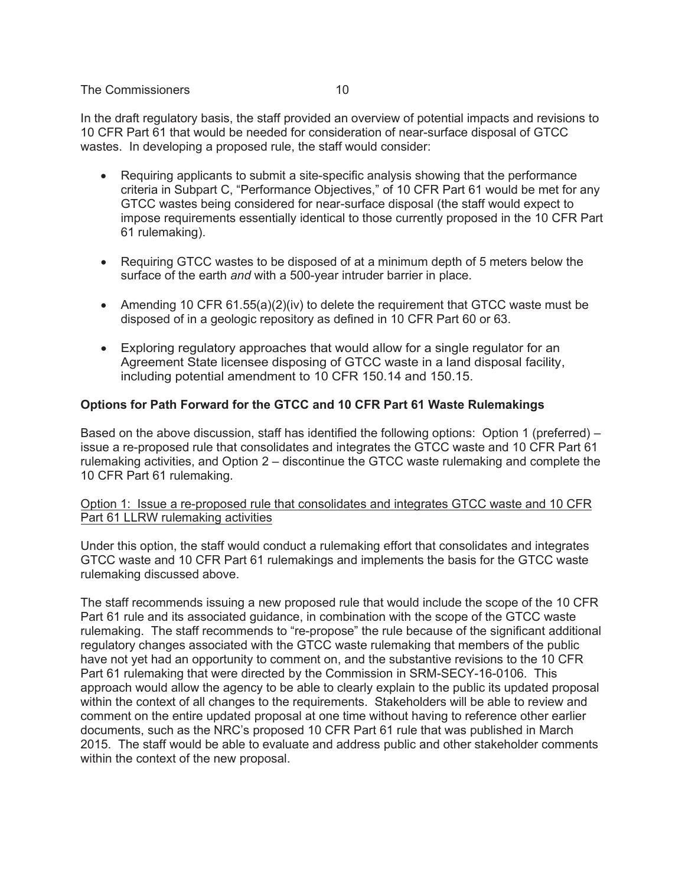In the draft regulatory basis, the staff provided an overview of potential impacts and revisions to 10 CFR Part 61 that would be needed for consideration of near-surface disposal of GTCC wastes. In developing a proposed rule, the staff would consider:

- Requiring applicants to submit a site-specific analysis showing that the performance criteria in Subpart C, "Performance Objectives," of 10 CFR Part 61 would be met for any GTCC wastes being considered for near-surface disposal (the staff would expect to impose requirements essentially identical to those currently proposed in the 10 CFR Part 61 rulemaking).
- Requiring GTCC wastes to be disposed of at a minimum depth of 5 meters below the surface of the earth *and* with a 500-year intruder barrier in place.
- Amending 10 CFR 61.55(a)(2)(iv) to delete the requirement that GTCC waste must be disposed of in a geologic repository as defined in 10 CFR Part 60 or 63.
- Exploring regulatory approaches that would allow for a single regulator for an Agreement State licensee disposing of GTCC waste in a land disposal facility, including potential amendment to 10 CFR 150.14 and 150.15.

## **Options for Path Forward for the GTCC and 10 CFR Part 61 Waste Rulemakings**

Based on the above discussion, staff has identified the following options: Option 1 (preferred) – issue a re-proposed rule that consolidates and integrates the GTCC waste and 10 CFR Part 61 rulemaking activities, and Option 2 – discontinue the GTCC waste rulemaking and complete the 10 CFR Part 61 rulemaking.

## Option 1: Issue a re-proposed rule that consolidates and integrates GTCC waste and 10 CFR Part 61 LLRW rulemaking activities

Under this option, the staff would conduct a rulemaking effort that consolidates and integrates GTCC waste and 10 CFR Part 61 rulemakings and implements the basis for the GTCC waste rulemaking discussed above.

The staff recommends issuing a new proposed rule that would include the scope of the 10 CFR Part 61 rule and its associated guidance, in combination with the scope of the GTCC waste rulemaking. The staff recommends to "re-propose" the rule because of the significant additional regulatory changes associated with the GTCC waste rulemaking that members of the public have not yet had an opportunity to comment on, and the substantive revisions to the 10 CFR Part 61 rulemaking that were directed by the Commission in SRM-SECY-16-0106. This approach would allow the agency to be able to clearly explain to the public its updated proposal within the context of all changes to the requirements. Stakeholders will be able to review and comment on the entire updated proposal at one time without having to reference other earlier documents, such as the NRC's proposed 10 CFR Part 61 rule that was published in March 2015. The staff would be able to evaluate and address public and other stakeholder comments within the context of the new proposal.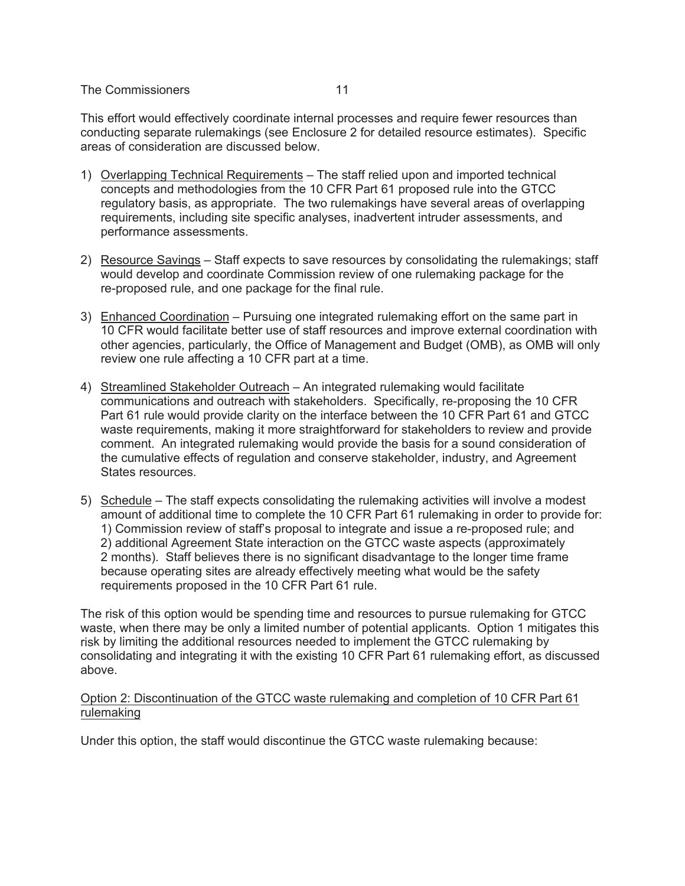This effort would effectively coordinate internal processes and require fewer resources than conducting separate rulemakings (see Enclosure 2 for detailed resource estimates). Specific areas of consideration are discussed below.

- 1) Overlapping Technical Requirements The staff relied upon and imported technical concepts and methodologies from the 10 CFR Part 61 proposed rule into the GTCC regulatory basis, as appropriate. The two rulemakings have several areas of overlapping requirements, including site specific analyses, inadvertent intruder assessments, and performance assessments.
- 2) Resource Savings Staff expects to save resources by consolidating the rulemakings; staff would develop and coordinate Commission review of one rulemaking package for the re-proposed rule, and one package for the final rule.
- 3) Enhanced Coordination Pursuing one integrated rulemaking effort on the same part in 10 CFR would facilitate better use of staff resources and improve external coordination with other agencies, particularly, the Office of Management and Budget (OMB), as OMB will only review one rule affecting a 10 CFR part at a time.
- 4) Streamlined Stakeholder Outreach An integrated rulemaking would facilitate communications and outreach with stakeholders. Specifically, re-proposing the 10 CFR Part 61 rule would provide clarity on the interface between the 10 CFR Part 61 and GTCC waste requirements, making it more straightforward for stakeholders to review and provide comment. An integrated rulemaking would provide the basis for a sound consideration of the cumulative effects of regulation and conserve stakeholder, industry, and Agreement States resources.
- 5) Schedule The staff expects consolidating the rulemaking activities will involve a modest amount of additional time to complete the 10 CFR Part 61 rulemaking in order to provide for: 1) Commission review of staff's proposal to integrate and issue a re-proposed rule; and 2) additional Agreement State interaction on the GTCC waste aspects (approximately 2 months). Staff believes there is no significant disadvantage to the longer time frame because operating sites are already effectively meeting what would be the safety requirements proposed in the 10 CFR Part 61 rule.

The risk of this option would be spending time and resources to pursue rulemaking for GTCC waste, when there may be only a limited number of potential applicants. Option 1 mitigates this risk by limiting the additional resources needed to implement the GTCC rulemaking by consolidating and integrating it with the existing 10 CFR Part 61 rulemaking effort, as discussed above.

## Option 2: Discontinuation of the GTCC waste rulemaking and completion of 10 CFR Part 61 rulemaking

Under this option, the staff would discontinue the GTCC waste rulemaking because: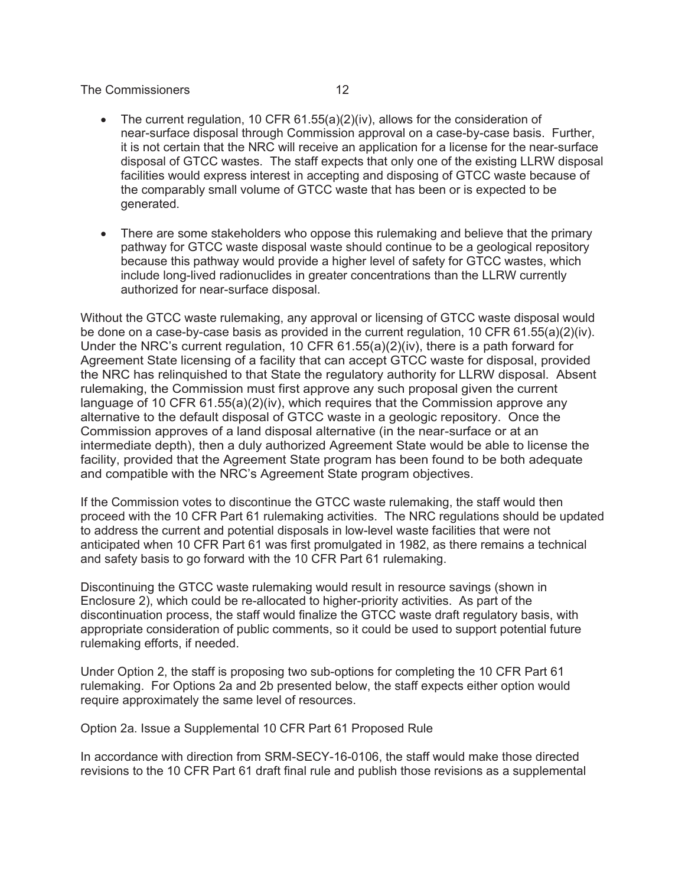- The current regulation, 10 CFR  $61.55(a)(2)(iv)$ , allows for the consideration of near-surface disposal through Commission approval on a case-by-case basis. Further, it is not certain that the NRC will receive an application for a license for the near-surface disposal of GTCC wastes. The staff expects that only one of the existing LLRW disposal facilities would express interest in accepting and disposing of GTCC waste because of the comparably small volume of GTCC waste that has been or is expected to be generated.
- There are some stakeholders who oppose this rulemaking and believe that the primary pathway for GTCC waste disposal waste should continue to be a geological repository because this pathway would provide a higher level of safety for GTCC wastes, which include long-lived radionuclides in greater concentrations than the LLRW currently authorized for near-surface disposal.

Without the GTCC waste rulemaking, any approval or licensing of GTCC waste disposal would be done on a case-by-case basis as provided in the current regulation, 10 CFR 61.55(a)(2)(iv). Under the NRC's current regulation, 10 CFR  $61.55(a)(2)(iv)$ , there is a path forward for Agreement State licensing of a facility that can accept GTCC waste for disposal, provided the NRC has relinquished to that State the regulatory authority for LLRW disposal. Absent rulemaking, the Commission must first approve any such proposal given the current language of 10 CFR 61.55(a)(2)(iv), which requires that the Commission approve any alternative to the default disposal of GTCC waste in a geologic repository. Once the Commission approves of a land disposal alternative (in the near-surface or at an intermediate depth), then a duly authorized Agreement State would be able to license the facility, provided that the Agreement State program has been found to be both adequate and compatible with the NRC's Agreement State program objectives.

If the Commission votes to discontinue the GTCC waste rulemaking, the staff would then proceed with the 10 CFR Part 61 rulemaking activities. The NRC regulations should be updated to address the current and potential disposals in low-level waste facilities that were not anticipated when 10 CFR Part 61 was first promulgated in 1982, as there remains a technical and safety basis to go forward with the 10 CFR Part 61 rulemaking.

Discontinuing the GTCC waste rulemaking would result in resource savings (shown in Enclosure 2), which could be re-allocated to higher-priority activities. As part of the discontinuation process, the staff would finalize the GTCC waste draft regulatory basis, with appropriate consideration of public comments, so it could be used to support potential future rulemaking efforts, if needed.

Under Option 2, the staff is proposing two sub-options for completing the 10 CFR Part 61 rulemaking. For Options 2a and 2b presented below, the staff expects either option would require approximately the same level of resources.

Option 2a. Issue a Supplemental 10 CFR Part 61 Proposed Rule

In accordance with direction from SRM-SECY-16-0106, the staff would make those directed revisions to the 10 CFR Part 61 draft final rule and publish those revisions as a supplemental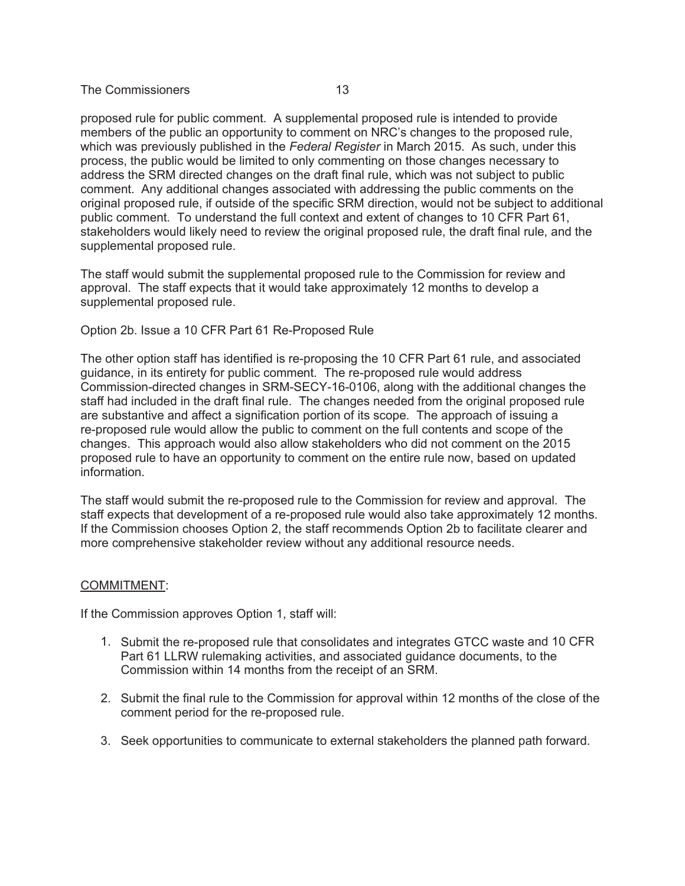proposed rule for public comment. A supplemental proposed rule is intended to provide members of the public an opportunity to comment on NRC's changes to the proposed rule, which was previously published in the *Federal Register* in March 2015. As such, under this process, the public would be limited to only commenting on those changes necessary to address the SRM directed changes on the draft final rule, which was not subject to public comment. Any additional changes associated with addressing the public comments on the original proposed rule, if outside of the specific SRM direction, would not be subject to additional public comment. To understand the full context and extent of changes to 10 CFR Part 61, stakeholders would likely need to review the original proposed rule, the draft final rule, and the supplemental proposed rule.

The staff would submit the supplemental proposed rule to the Commission for review and approval. The staff expects that it would take approximately 12 months to develop a supplemental proposed rule.

#### Option 2b. Issue a 10 CFR Part 61 Re-Proposed Rule

The other option staff has identified is re-proposing the 10 CFR Part 61 rule, and associated guidance, in its entirety for public comment. The re-proposed rule would address Commission-directed changes in SRM-SECY-16-0106, along with the additional changes the staff had included in the draft final rule. The changes needed from the original proposed rule are substantive and affect a signification portion of its scope. The approach of issuing a re-proposed rule would allow the public to comment on the full contents and scope of the changes. This approach would also allow stakeholders who did not comment on the 2015 proposed rule to have an opportunity to comment on the entire rule now, based on updated information.

The staff would submit the re-proposed rule to the Commission for review and approval. The staff expects that development of a re-proposed rule would also take approximately 12 months. If the Commission chooses Option 2, the staff recommends Option 2b to facilitate clearer and more comprehensive stakeholder review without any additional resource needs.

#### COMMITMENT:

If the Commission approves Option 1, staff will:

- 1. Submit the re-proposed rule that consolidates and integrates GTCC waste and 10 CFR Part 61 LLRW rulemaking activities, and associated guidance documents, to the Commission within 14 months from the receipt of an SRM.
- 2. Submit the final rule to the Commission for approval within 12 months of the close of the comment period for the re-proposed rule.
- 3. Seek opportunities to communicate to external stakeholders the planned path forward.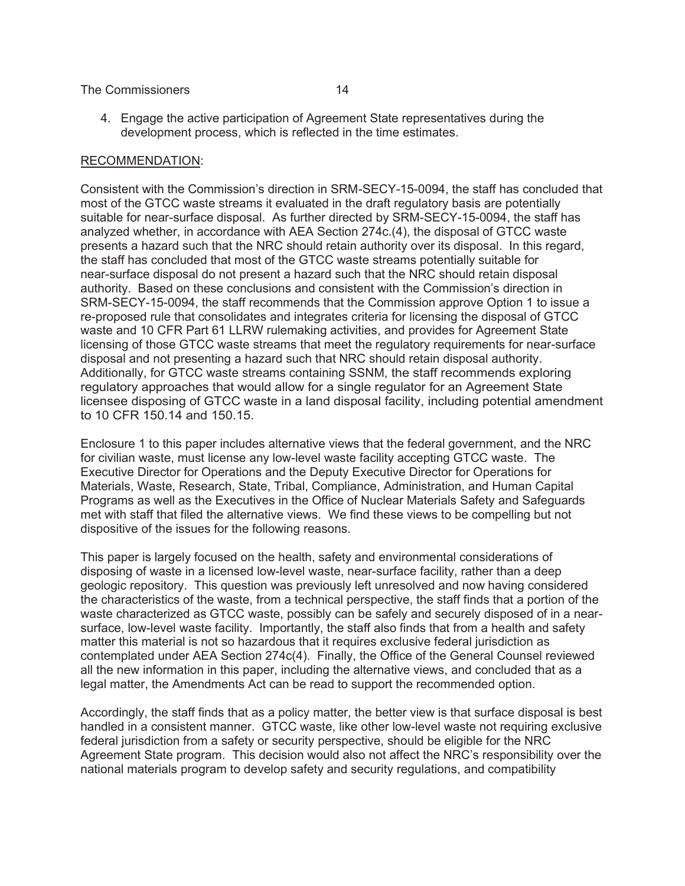4. Engage the active participation of Agreement State representatives during the development process, which is reflected in the time estimates.

#### RECOMMENDATION:

Consistent with the Commission's direction in SRM-SECY-15-0094, the staff has concluded that most of the GTCC waste streams it evaluated in the draft regulatory basis are potentially suitable for near-surface disposal. As further directed by SRM-SECY-15-0094, the staff has analyzed whether, in accordance with AEA Section 274c.(4), the disposal of GTCC waste presents a hazard such that the NRC should retain authority over its disposal. In this regard, the staff has concluded that most of the GTCC waste streams potentially suitable for near-surface disposal do not present a hazard such that the NRC should retain disposal authority. Based on these conclusions and consistent with the Commission's direction in SRM-SECY-15-0094, the staff recommends that the Commission approve Option 1 to issue a re-proposed rule that consolidates and integrates criteria for licensing the disposal of GTCC waste and 10 CFR Part 61 LLRW rulemaking activities, and provides for Agreement State licensing of those GTCC waste streams that meet the regulatory requirements for near-surface disposal and not presenting a hazard such that NRC should retain disposal authority. Additionally, for GTCC waste streams containing SSNM, the staff recommends exploring regulatory approaches that would allow for a single regulator for an Agreement State licensee disposing of GTCC waste in a land disposal facility, including potential amendment to 10 CFR 150.14 and 150.15.

Enclosure 1 to this paper includes alternative views that the federal government, and the NRC for civilian waste, must license any low-level waste facility accepting GTCC waste. The Executive Director for Operations and the Deputy Executive Director for Operations for Materials, Waste, Research, State, Tribal, Compliance, Administration, and Human Capital Programs as well as the Executives in the Office of Nuclear Materials Safety and Safeguards met with staff that filed the alternative views. We find these views to be compelling but not dispositive of the issues for the following reasons.

This paper is largely focused on the health, safety and environmental considerations of disposing of waste in a licensed low-level waste, near-surface facility, rather than a deep geologic repository. This question was previously left unresolved and now having considered the characteristics of the waste, from a technical perspective, the staff finds that a portion of the waste characterized as GTCC waste, possibly can be safely and securely disposed of in a nearsurface, low-level waste facility. Importantly, the staff also finds that from a health and safety matter this material is not so hazardous that it requires exclusive federal jurisdiction as contemplated under AEA Section 274c(4). Finally, the Office of the General Counsel reviewed all the new information in this paper, including the alternative views, and concluded that as a legal matter, the Amendments Act can be read to support the recommended option.

Accordingly, the staff finds that as a policy matter, the better view is that surface disposal is best handled in a consistent manner. GTCC waste, like other low-level waste not requiring exclusive federal jurisdiction from a safety or security perspective, should be eligible for the NRC Agreement State program. This decision would also not affect the NRC's responsibility over the national materials program to develop safety and security regulations, and compatibility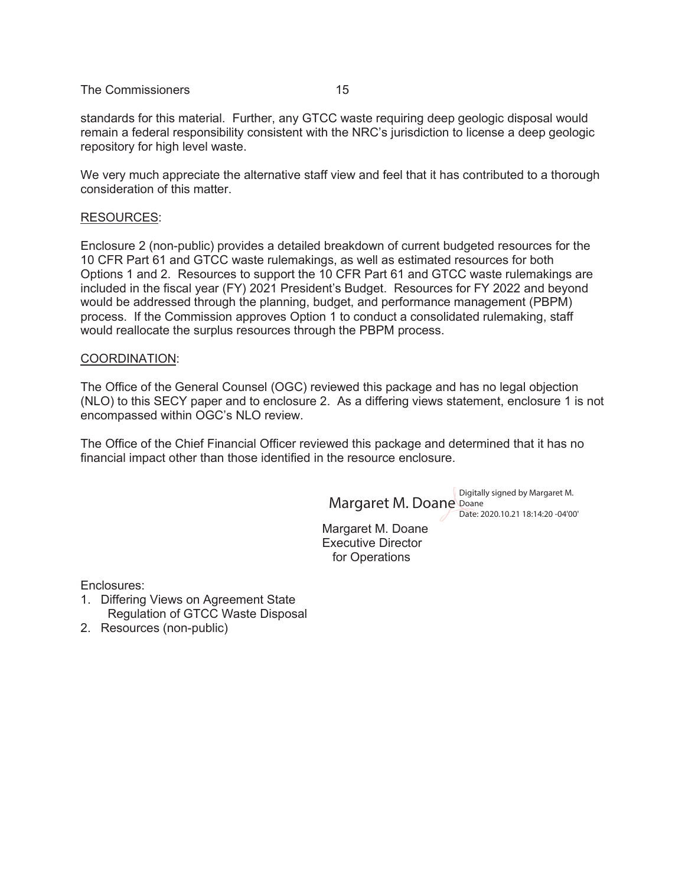standards for this material. Further, any GTCC waste requiring deep geologic disposal would remain a federal responsibility consistent with the NRC's jurisdiction to license a deep geologic repository for high level waste.

We very much appreciate the alternative staff view and feel that it has contributed to a thorough consideration of this matter.

#### RESOURCES:

Enclosure 2 (non-public) provides a detailed breakdown of current budgeted resources for the 10 CFR Part 61 and GTCC waste rulemakings, as well as estimated resources for both Options 1 and 2. Resources to support the 10 CFR Part 61 and GTCC waste rulemakings are included in the fiscal year (FY) 2021 President's Budget. Resources for FY 2022 and beyond would be addressed through the planning, budget, and performance management (PBPM) process. If the Commission approves Option 1 to conduct a consolidated rulemaking, staff would reallocate the surplus resources through the PBPM process.

#### COORDINATION:

The Office of the General Counsel (OGC) reviewed this package and has no legal objection (NLO) to this SECY paper and to enclosure 2. As a differing views statement, enclosure 1 is not encompassed within OGC's NLO review.

The Office of the Chief Financial Officer reviewed this package and determined that it has no financial impact other than those identified in the resource enclosure.

Margaret M. Doane Digitally signed by Margaret M. Doane

Date: 2020.10.21 18:14:20 -04'00'

Margaret M. Doane Executive Director for Operations

Enclosures:

- 1. Differing Views on Agreement State Regulation of GTCC Waste Disposal
- 2. Resources (non-public)